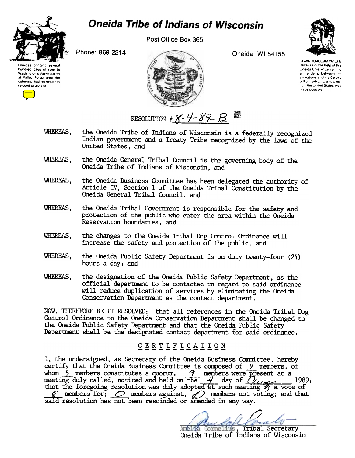

hundred bags ot corn to Washington's starving army at Valley Forge. after the colonists had consistently retused to aid them

# **Oneida Tribe of Indians of Wisconsin**

Post Office Box 365

Phone: 869-2214 Oneida, WI 54155



of Pennsylvama a new nation, the United States, was made possible



UGWA DEMOLUM YATEHE Because of the help of this Oneida Chief in cementing a friendship between the six nations and the Colony

RESOLUTION  $R_5/4-89- B$ 

- WIERFAS, the Oneida Tribe of Indians of Wisconsin is a federally recognized Indian government and a Treaty Tribe recognized by the laws of the United States, and
- WHEREAS, the Oneida General Tribal Council is the governing body of the Oneida Tribe of Indians of Wisconsin, and
- WHEREAS, the Oneida Business Conmittee has been delegated the authority of Article IV, Section 1 of the Oneida Tribal Constitution by the Oneida General Tribal Council, and
- WHEREAS, the Oneida Tribal Government is responsible for the safety and protection of the public who enter the area within the Oneida Reservation boundaries, and
- WHEREAS, the changes to the Oneida Tribal Dog Control Ordinance will increase the safety and protection of the public, and
- WHEREAS, the Oneida Public Safety Department is on duty twenty-four (24) hours a day; and
- WHEREAS, the designation of the Oneida Public Safety Department, as the official department to be contacted in regard to said ordinance will reduce duplication of services by eliminating the Oneida Conservation Department as the contact department.

NOW, THEREFORE BE IT RESOLVED: that all references in the Oneida Tribal Dog Control Ordinance to the Oneida Conservation Department shall be changed to the Oneida Public Safety Department and that the Oneida Public Safety Department shall be the designated contact department for said ordinance.

# CERTIFICATION

I, the undersigned, as Secretary of the Oneida Business Committee, hereby certify that the Oneida Business Committee is composed of  $9$  members, of whom 5 members constitutes a quorum.  $9$  members were present at a whom  $5$  members constitutes a quorum. meeting duly called, noticed and held on the 4 day of  $Q_{\ell\ell}$  1989; that the foregoing resolution was duly adopted at such meeting  $\overline{\mathscr{W}}$  a vote of  $\mathscr{L}$  members for;  $\mathscr{O}$  members against,  $\mathscr{O}$  members not voting; and that said resolution has not been rescinded or amended in any way.

// Amélia Cornelius, Tribal Secretary

Q1eida Tribe of Indians of Wisconsin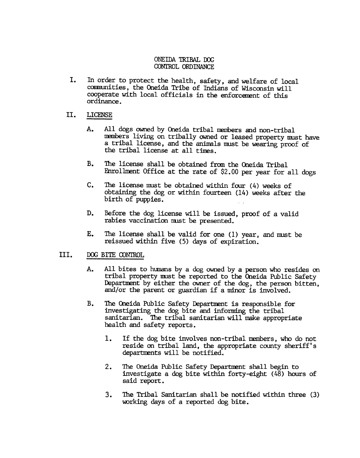### ONEIDA TRIBAL DOG CONTROL ORDINANCE

I. In order to protect the health, safety, and welfare of local communities, the Oneida Tribe of Indians of Wisconsin will cooperate with local officials in the enforcement of this ordinance .

#### $II.$ LICENSE

- A. All dogs owned by Oneida tribal members and non-tribal members living on tribally owned or leased property must have a tribal license, and the animals must be wearing proof of the tribal license at all times.
- B. The license shall be obtained from the Oneida Tribal Enrollment Office at the rate of  $$2.00$  per year for all dogs
- c. The license must be obtained within four (4) weeks of obtaining the dog or within fourteen (14) weeks after the birth of puppies.
- D. Before the dog license will be issued, proof of a valid rabies vaccination must be presented.
- E. The license shall be valid for one (1) year, and must be reissued within five (5) days of expiration.

#### III. DOG BITE CONTROL

- A. All bites to humans by a dog owned by a person who resides on<br>tribal property must be reported to the Oneida Public Safety<br>Department by either the owner of the dog, the person bitten,<br>and/or the parent or guardian if a tribal property m1St be reported to the Oneida Public Safety Department by either the owner of the dog, the person bitten, and/or the parent or guardian if a minor is involved.
	- B. The Oneida Public Safety Department is responsible for investigating the dog bite and informing the tribal sanitarian. The tribal sanitarian will make appropriate health and safety reports.
		- reside on tribal land, the appropriate county sheriff's departnents will be notified.
- 1. If the dog bite involves non-tribal members, who do not reside on tribal land, the appropriate county sheriff's departments will be notified.<br>
2. The Oneida Public Safety Department shall begin to investigate a dog bite 2. The Oneida Public Safety Department shall begin to investigate a dog bite within forty-eight (48) hours of said report.
	- 3. The Tribal Sanitarian shall be notified within three (3) working days of a reported dog bite.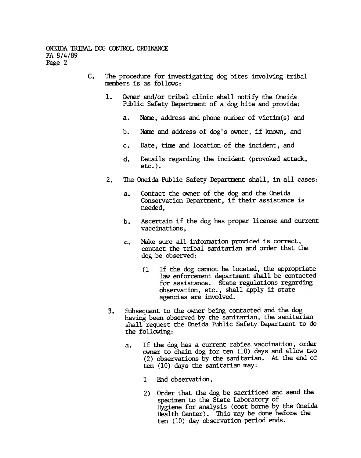- c. The procedure for investigating dog bites involving tribal members is as follows:
	- 1. Owner and/or tribal clinic shall notify the Oneida Public Safety Department of a dog bite and provide:
		- a. Nane, address and phone number of victim(s) and
		- b. Name and address of dog's owner, if known, and
		- c. Date, time and location of the incident, and
		- Details regarding the incident (provoked attack, d. etc.).
	- 2. The Oneida Public Safety Department shall, in all cases:
		- a. Contact the owner of the dog and the Oneida Conservation Department, if their assistance is needed,
		- b. Ascertain if the dog has proper license and current vaccinations,
		- Make sure all information provided is correct, contact the tribal sanitarian and order that the dog be observed: c.
			- If the dog cannot be located, the appropriate law enforcement department shall be contacted for assistance. State regulations regarding observation, etc., shall apply if state agencies are involved.  $(1)$
	- Subsequent to the owner being contacted and the dog  $3.$ having been observed by the sanitarian, the sanitarian shall request the Oneida Public Safety Department to do the following:
		- If the dog has a current rabies vaccination, order owner to chain dog for ten (10) days and allow two (2) observations by the sanitarian. At the end of ten (10) days the sanitarian may: a.
			- 1 End observation,
			- 2) Order that the dog be sacrificed and send the specimen to the State Laboratory of Hygiene for analysis (cost borne by the Oneida Health Center). This may be done before the ten (10) day observation period ends.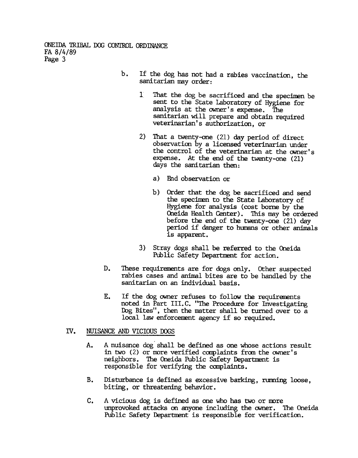ONEIDA TRIBAL DOG CONIROL ORDINANCE FA 8/4/89 Page 3

- $<sub>b</sub>$ .</sub> If the dog has not had a rabies vaccination, the sanitarian may order:
	- 1 That the dog be sacrificed and the specimen be sent to the State Laboratory of Hygiene for analysis at the owner's expense. The sanitarian will prepare and obtain required veterinarian's authorization, or
	- 2) That a twenty-one (21) day period of direct observation by a licensed veterinarian under the control of the veterinarian at the owner's expense. At the end of the twenty-one (21) days the sanitarian then:
		- a) End observation or
		- b) Order that the dog be sacrificed and send the specinen to the State Laboratory of Hygiene for analysis (cost borne by the Oneida Health Center). This may be ordered before the end of the twenty-one (21) day period if danger to humans or other animals is apparent.
	- 3) Stray dogs shall be referred to the Oneida Public Safety Department for action.
- D. These requirements are for dogs only. Other suspected rabies cases and animal bites are to be handled by the sanitarian on an individual basis.
- E. If the dog owner refuses to follow the requirements noted in Part III. C. "The Procedure for Investigating Dog Bites", then the matter shall be turned over to a local law enforcenent agency if so required.

## IV. NUISANCE AND VICIOUS DOGS

- A. A nuisance dog shall be defined as one whose actions result in two  $(2)$  or more verified complaints from the owner's neighbors. The Oneida Public Safety Department is responsible for verifying the canplaints.
- B. Disturbance is defined as excessive barking, running loose, biting, or threatening behavior.
- C. A vicious dog is defined as one who has two or more unprovoked attacks on anyone including the owner. The Oneida Public Safety Department is responsible for verification.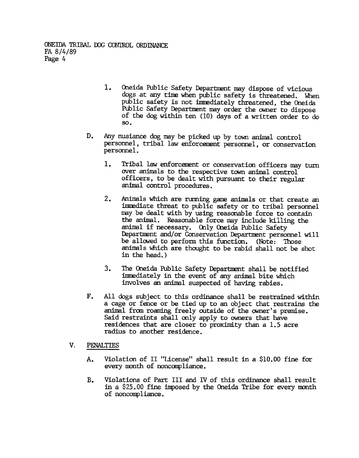ONEillA TRIBAL OOG CONlROL ORDINANCE FA 8/4/89 Page 4

- Oneida Public Safety Department may dispose of vicious  $1.$ dogs at any time when public safety is threatened. When public safety is not innediately threatened, the Oneida Public Safety Department may order the owner to dispose of the dog within ten (10) days of a written order to do so.
- D. Any nusiance dog may be picked up by town animal control personnel, tribal law enforcenent personnel, or conservationpersonnel.
	- 1. Tribal law enforcement or conservation officers may turn over animals to the respective town animal control officers, to be dealt with pursuant to their regular animal control procedures.
	- $2.$ Animals which are running game animals or that create an immediate threat to public safety or to tribal personnel may be dealt with by using reasonable force to contain the animal. Reasonable force may include killing the animal if necessary. Only Oneida Public Safety Department and/or Conservation Department personnel will be allowed to perform this function. (Note: Those animals which are thought to be rabid shall not be shot in the head.)
	- innediately in the event of any animal bite which involves an animal suspected of having rabies.
- 3. The Oneida Rublic Safety Department shall be notified<br>immediately in the event of any animal bite which<br>involves an animal suspected of having rabies.<br>F. All dogs subject to this ordinance shall be restrained a cage or F. All dogs subject to this ordinance shall be restrained within a cage or fence or be tied up to anoiget that restrains the shall entirates shall only apply to owners that have residences that are closer to proximity than a cage or fence or be tied up to an object that restrains the animal from roaming freely outside of the owner's premise. Said restraints shall only apply to owners that have residences that are closer to proximity than a 1.5 acre radius to another residence.
	- v. PENALTIES
		- Violation of II "License" shall result in a \$10.00 fine for every month of noncompliance. A.
		- B. Violations of Part III and IV of this ordinance shall result in a  $$25.00$  fine imposed by the Oneida Tribe for every month of noncompliance.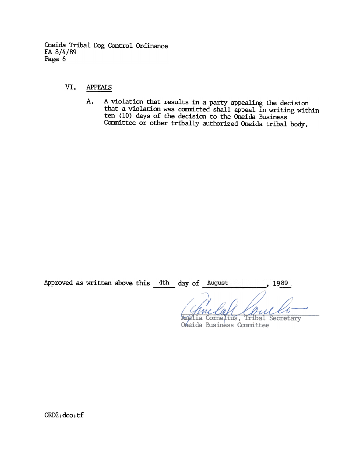Oneida Tribal Dog Control Ordinance FA 8/4/89 Page 6

#### VI. APPEAlS

A violation that results in a party appealing the decision A. that a violation was committed shall appeal in writing with: ten (10) days of the decision to the Oneida Busines Committee or other tribally authorized Oneida tribal body.

Approved as written above this 4th day of August 1989

Cornelius, Secretary

Amelia Tribal Oneida Business Committee